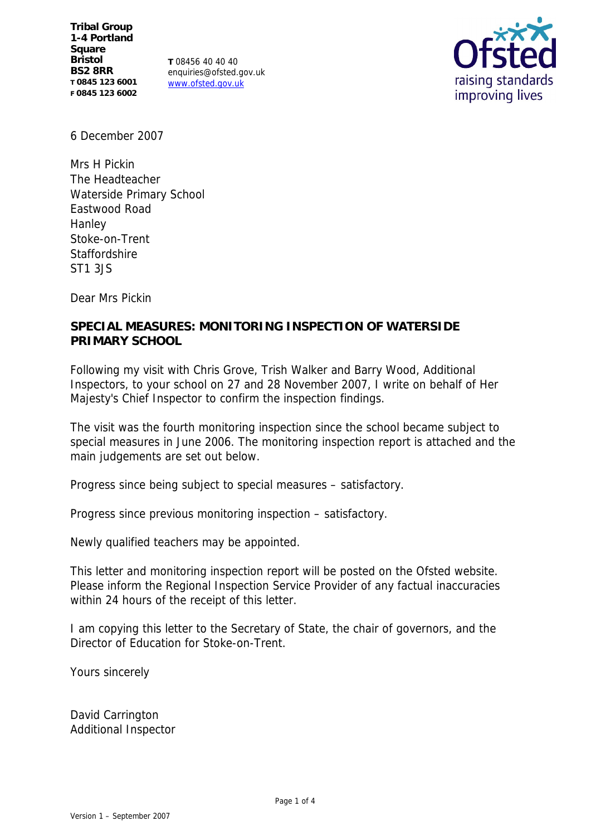**Tribal Group 1-4 Portland Square Bristol BS2 8RR T 0845 123 6001 F 0845 123 6002**

**T** 08456 40 40 40 enquiries@ofsted.gov.uk www.ofsted.gov.uk



6 December 2007

Mrs H Pickin The Headteacher Waterside Primary School Eastwood Road Hanley Stoke-on-Trent **Staffordshire** ST1 3JS

Dear Mrs Pickin

# **SPECIAL MEASURES: MONITORING INSPECTION OF WATERSIDE PRIMARY SCHOOL**

Following my visit with Chris Grove, Trish Walker and Barry Wood, Additional Inspectors, to your school on 27 and 28 November 2007, I write on behalf of Her Majesty's Chief Inspector to confirm the inspection findings.

The visit was the fourth monitoring inspection since the school became subject to special measures in June 2006. The monitoring inspection report is attached and the main judgements are set out below.

Progress since being subject to special measures – satisfactory.

Progress since previous monitoring inspection – satisfactory.

Newly qualified teachers may be appointed.

This letter and monitoring inspection report will be posted on the Ofsted website. Please inform the Regional Inspection Service Provider of any factual inaccuracies within 24 hours of the receipt of this letter.

I am copying this letter to the Secretary of State, the chair of governors, and the Director of Education for Stoke-on-Trent.

Yours sincerely

David Carrington Additional Inspector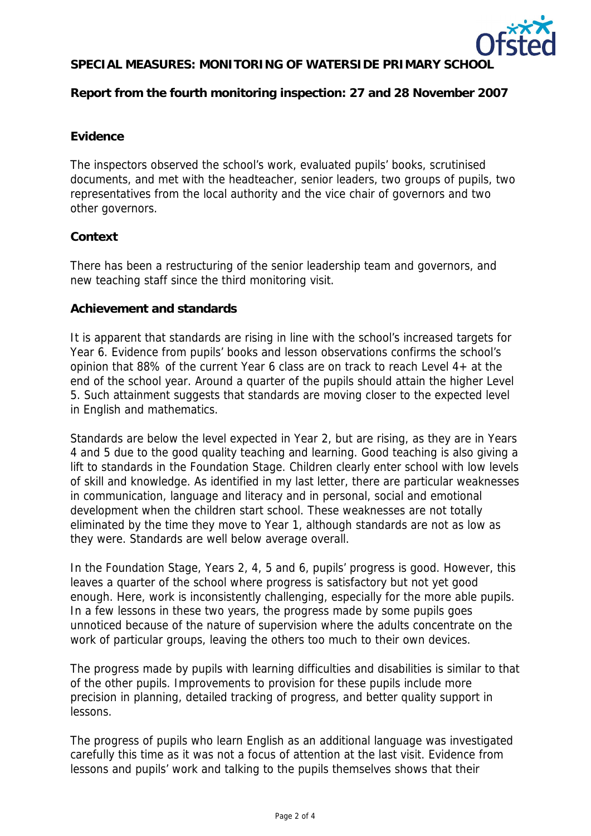

# SPECIAL MEASURES: MONITORING OF WATERSIDE PRIMARY SCHOOL

**Report from the fourth monitoring inspection: 27 and 28 November 2007**

#### **Evidence**

The inspectors observed the school's work, evaluated pupils' books, scrutinised documents, and met with the headteacher, senior leaders, two groups of pupils, two representatives from the local authority and the vice chair of governors and two other governors.

## **Context**

There has been a restructuring of the senior leadership team and governors, and new teaching staff since the third monitoring visit.

#### **Achievement and standards**

It is apparent that standards are rising in line with the school's increased targets for Year 6. Evidence from pupils' books and lesson observations confirms the school's opinion that 88% of the current Year 6 class are on track to reach Level 4+ at the end of the school year. Around a quarter of the pupils should attain the higher Level 5. Such attainment suggests that standards are moving closer to the expected level in English and mathematics.

Standards are below the level expected in Year 2, but are rising, as they are in Years 4 and 5 due to the good quality teaching and learning. Good teaching is also giving a lift to standards in the Foundation Stage. Children clearly enter school with low levels of skill and knowledge. As identified in my last letter, there are particular weaknesses in communication, language and literacy and in personal, social and emotional development when the children start school. These weaknesses are not totally eliminated by the time they move to Year 1, although standards are not as low as they were. Standards are well below average overall.

In the Foundation Stage, Years 2, 4, 5 and 6, pupils' progress is good. However, this leaves a quarter of the school where progress is satisfactory but not yet good enough. Here, work is inconsistently challenging, especially for the more able pupils. In a few lessons in these two years, the progress made by some pupils goes unnoticed because of the nature of supervision where the adults concentrate on the work of particular groups, leaving the others too much to their own devices.

The progress made by pupils with learning difficulties and disabilities is similar to that of the other pupils. Improvements to provision for these pupils include more precision in planning, detailed tracking of progress, and better quality support in lessons.

The progress of pupils who learn English as an additional language was investigated carefully this time as it was not a focus of attention at the last visit. Evidence from lessons and pupils' work and talking to the pupils themselves shows that their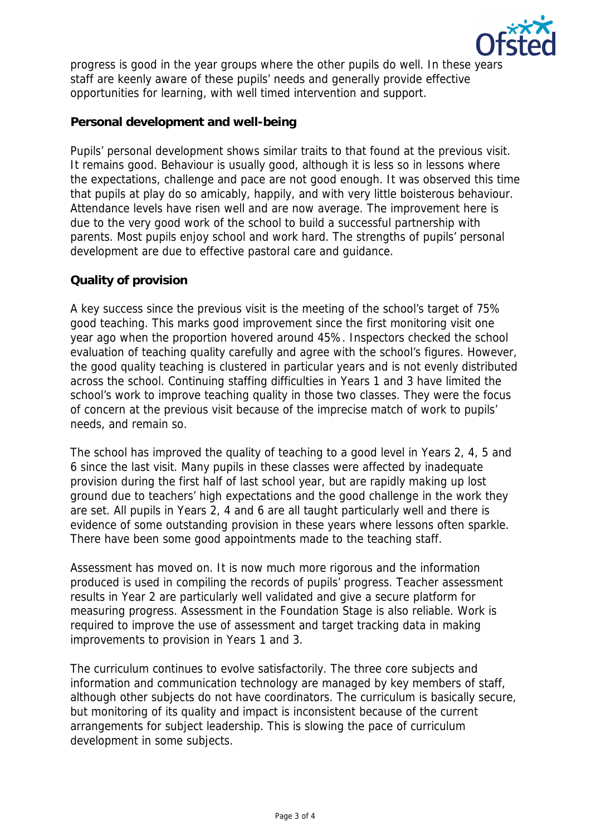

progress is good in the year groups where the other pupils do well. In these years staff are keenly aware of these pupils' needs and generally provide effective opportunities for learning, with well timed intervention and support.

# **Personal development and well-being**

Pupils' personal development shows similar traits to that found at the previous visit. It remains good. Behaviour is usually good, although it is less so in lessons where the expectations, challenge and pace are not good enough. It was observed this time that pupils at play do so amicably, happily, and with very little boisterous behaviour. Attendance levels have risen well and are now average. The improvement here is due to the very good work of the school to build a successful partnership with parents. Most pupils enjoy school and work hard. The strengths of pupils' personal development are due to effective pastoral care and guidance.

## **Quality of provision**

A key success since the previous visit is the meeting of the school's target of 75% good teaching. This marks good improvement since the first monitoring visit one year ago when the proportion hovered around 45%. Inspectors checked the school evaluation of teaching quality carefully and agree with the school's figures. However, the good quality teaching is clustered in particular years and is not evenly distributed across the school. Continuing staffing difficulties in Years 1 and 3 have limited the school's work to improve teaching quality in those two classes. They were the focus of concern at the previous visit because of the imprecise match of work to pupils' needs, and remain so.

The school has improved the quality of teaching to a good level in Years 2, 4, 5 and 6 since the last visit. Many pupils in these classes were affected by inadequate provision during the first half of last school year, but are rapidly making up lost ground due to teachers' high expectations and the good challenge in the work they are set. All pupils in Years 2, 4 and 6 are all taught particularly well and there is evidence of some outstanding provision in these years where lessons often sparkle. There have been some good appointments made to the teaching staff.

Assessment has moved on. It is now much more rigorous and the information produced is used in compiling the records of pupils' progress. Teacher assessment results in Year 2 are particularly well validated and give a secure platform for measuring progress. Assessment in the Foundation Stage is also reliable. Work is required to improve the use of assessment and target tracking data in making improvements to provision in Years 1 and 3.

The curriculum continues to evolve satisfactorily. The three core subjects and information and communication technology are managed by key members of staff, although other subjects do not have coordinators. The curriculum is basically secure, but monitoring of its quality and impact is inconsistent because of the current arrangements for subject leadership. This is slowing the pace of curriculum development in some subjects.